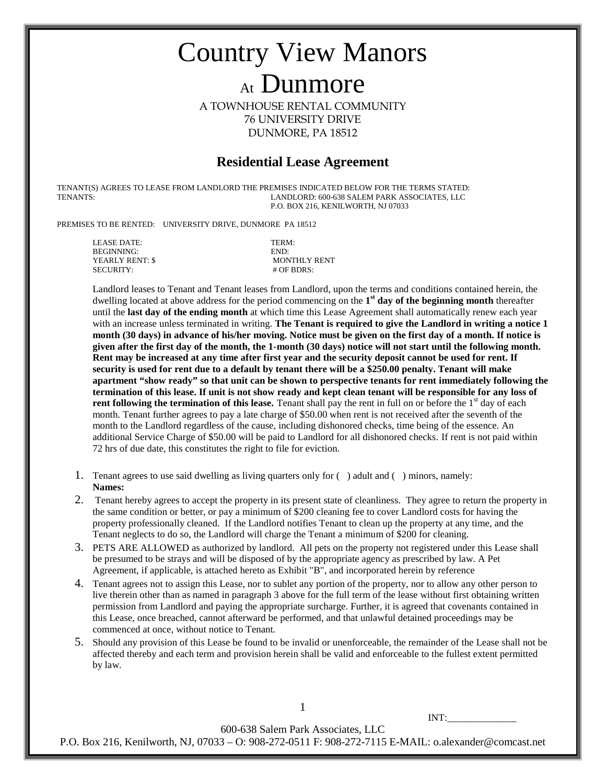A TOWNHOUSE RENTAL COMMUNITY 76 UNIVERSITY DRIVE DUNMORE, PA 18512

#### **Residential Lease Agreement**

TENANT(S) AGREES TO LEASE FROM LANDLORD THE PREMISES INDICATED BELOW FOR THE TERMS STATED:<br>LANDLORD: 600-638 SALEM PARK ASSOCIATES LLC LANDLORD: 600-638 SALEM PARK ASSOCIATES, LLC P.O. BOX 216, KENILWORTH, NJ 07033

PREMISES TO BE RENTED: UNIVERSITY DRIVE, DUNMORE PA 18512

LEASE DATE: TERM: BEGINNING: END: YEARLY RENT: \$<br>SECURITY:

# OF BDRS:

Landlord leases to Tenant and Tenant leases from Landlord, upon the terms and conditions contained herein, the dwelling located at above address for the period commencing on the **1st day of the beginning month** thereafter until the **last day of the ending month** at which time this Lease Agreement shall automatically renew each year with an increase unless terminated in writing. **The Tenant is required to give the Landlord in writing a notice 1 month (30 days) in advance of his/her moving. Notice must be given on the first day of a month. If notice is given after the first day of the month, the 1-month (30 days) notice will not start until the following month. Rent may be increased at any time after first year and the security deposit cannot be used for rent. If security is used for rent due to a default by tenant there will be a \$250.00 penalty. Tenant will make apartment "show ready" so that unit can be shown to perspective tenants for rent immediately following the termination of this lease. If unit is not show ready and kept clean tenant will be responsible for any loss of rent following the termination of this lease.** Tenant shall pay the rent in full on or before the 1<sup>st</sup> day of each month. Tenant further agrees to pay a late charge of \$50.00 when rent is not received after the seventh of the month to the Landlord regardless of the cause, including dishonored checks, time being of the essence. An additional Service Charge of \$50.00 will be paid to Landlord for all dishonored checks. If rent is not paid within 72 hrs of due date, this constitutes the right to file for eviction.

- 1. Tenant agrees to use said dwelling as living quarters only for ( ) adult and ( ) minors, namely: **Names:**
- 2. Tenant hereby agrees to accept the property in its present state of cleanliness. They agree to return the property in the same condition or better, or pay a minimum of \$200 cleaning fee to cover Landlord costs for having the property professionally cleaned. If the Landlord notifies Tenant to clean up the property at any time, and the Tenant neglects to do so, the Landlord will charge the Tenant a minimum of \$200 for cleaning.
- 3. PETS ARE ALLOWED as authorized by landlord. All pets on the property not registered under this Lease shall be presumed to be strays and will be disposed of by the appropriate agency as prescribed by law. A Pet Agreement, if applicable, is attached hereto as Exhibit "B", and incorporated herein by reference
- 4. Tenant agrees not to assign this Lease, nor to sublet any portion of the property, nor to allow any other person to live therein other than as named in paragraph 3 above for the full term of the lease without first obtaining written permission from Landlord and paying the appropriate surcharge. Further, it is agreed that covenants contained in this Lease, once breached, cannot afterward be performed, and that unlawful detained proceedings may be commenced at once, without notice to Tenant.
- 5. Should any provision of this Lease be found to be invalid or unenforceable, the remainder of the Lease shall not be affected thereby and each term and provision herein shall be valid and enforceable to the fullest extent permitted by law.

INT: 600-638 Salem Park Associates, LLC P.O. Box 216, Kenilworth, NJ, 07033 – O: 908-272-0511 F: 908-272-7115 E-MAIL: o.alexander@comcast.net

1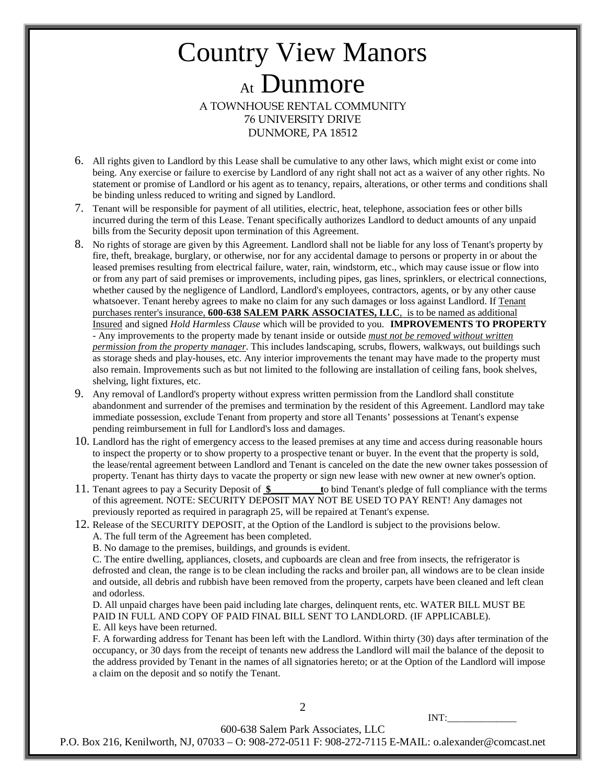- 6. All rights given to Landlord by this Lease shall be cumulative to any other laws, which might exist or come into being. Any exercise or failure to exercise by Landlord of any right shall not act as a waiver of any other rights. No statement or promise of Landlord or his agent as to tenancy, repairs, alterations, or other terms and conditions shall be binding unless reduced to writing and signed by Landlord.
- 7. Tenant will be responsible for payment of all utilities, electric, heat, telephone, association fees or other bills incurred during the term of this Lease. Tenant specifically authorizes Landlord to deduct amounts of any unpaid bills from the Security deposit upon termination of this Agreement.
- 8. No rights of storage are given by this Agreement. Landlord shall not be liable for any loss of Tenant's property by fire, theft, breakage, burglary, or otherwise, nor for any accidental damage to persons or property in or about the leased premises resulting from electrical failure, water, rain, windstorm, etc., which may cause issue or flow into or from any part of said premises or improvements, including pipes, gas lines, sprinklers, or electrical connections, whether caused by the negligence of Landlord, Landlord's employees, contractors, agents, or by any other cause whatsoever. Tenant hereby agrees to make no claim for any such damages or loss against Landlord. If Tenant purchases renter's insurance, **600-638 SALEM PARK ASSOCIATES, LLC**, is to be named as additional Insured and signed *Hold Harmless Clause* which will be provided to you. **IMPROVEMENTS TO PROPERTY**  - Any improvements to the property made by tenant inside or outside *must not be removed without written permission from the property manager*. This includes landscaping, scrubs, flowers, walkways, out buildings such as storage sheds and play-houses, etc. Any interior improvements the tenant may have made to the property must also remain. Improvements such as but not limited to the following are installation of ceiling fans, book shelves, shelving, light fixtures, etc.
- 9. Any removal of Landlord's property without express written permission from the Landlord shall constitute abandonment and surrender of the premises and termination by the resident of this Agreement. Landlord may take immediate possession, exclude Tenant from property and store all Tenants' possessions at Tenant's expense pending reimbursement in full for Landlord's loss and damages.
- 10. Landlord has the right of emergency access to the leased premises at any time and access during reasonable hours to inspect the property or to show property to a prospective tenant or buyer. In the event that the property is sold, the lease/rental agreement between Landlord and Tenant is canceled on the date the new owner takes possession of property. Tenant has thirty days to vacate the property or sign new lease with new owner at new owner's option.
- 11. Tenant agrees to pay a Security Deposit of **\$\_\_\_\_\_\_\_\_\_\_t**o bind Tenant's pledge of full compliance with the terms of this agreement. NOTE: SECURITY DEPOSIT MAY NOT BE USED TO PAY RENT! Any damages not previously reported as required in paragraph 25, will be repaired at Tenant's expense.
- 12. Release of the SECURITY DEPOSIT, at the Option of the Landlord is subject to the provisions below.

A. The full term of the Agreement has been completed.

B. No damage to the premises, buildings, and grounds is evident.

C. The entire dwelling, appliances, closets, and cupboards are clean and free from insects, the refrigerator is defrosted and clean, the range is to be clean including the racks and broiler pan, all windows are to be clean inside and outside, all debris and rubbish have been removed from the property, carpets have been cleaned and left clean and odorless.

D. All unpaid charges have been paid including late charges, delinquent rents, etc. WATER BILL MUST BE PAID IN FULL AND COPY OF PAID FINAL BILL SENT TO LANDLORD. (IF APPLICABLE). E. All keys have been returned.

F. A forwarding address for Tenant has been left with the Landlord. Within thirty (30) days after termination of the occupancy, or 30 days from the receipt of tenants new address the Landlord will mail the balance of the deposit to the address provided by Tenant in the names of all signatories hereto; or at the Option of the Landlord will impose a claim on the deposit and so notify the Tenant.

INT:

600-638 Salem Park Associates, LLC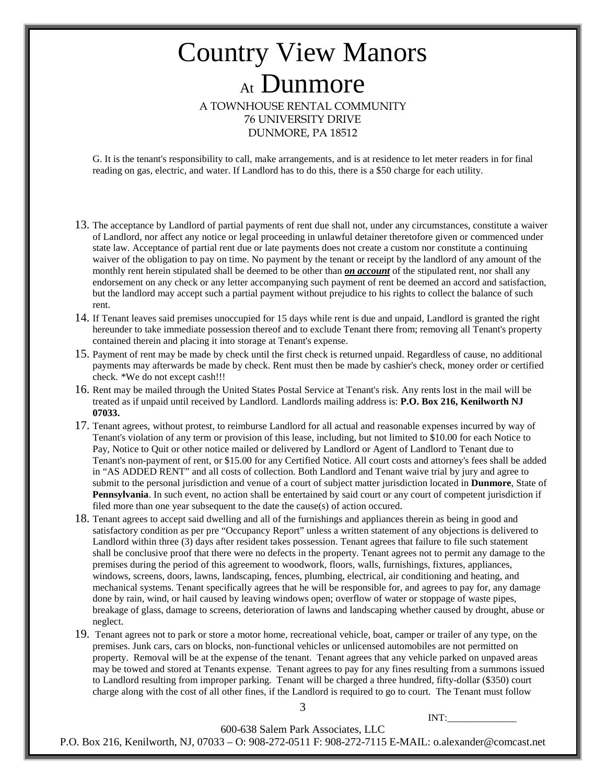G. It is the tenant's responsibility to call, make arrangements, and is at residence to let meter readers in for final reading on gas, electric, and water. If Landlord has to do this, there is a \$50 charge for each utility.

- 13. The acceptance by Landlord of partial payments of rent due shall not, under any circumstances, constitute a waiver of Landlord, nor affect any notice or legal proceeding in unlawful detainer theretofore given or commenced under state law. Acceptance of partial rent due or late payments does not create a custom nor constitute a continuing waiver of the obligation to pay on time. No payment by the tenant or receipt by the landlord of any amount of the monthly rent herein stipulated shall be deemed to be other than *on account* of the stipulated rent, nor shall any endorsement on any check or any letter accompanying such payment of rent be deemed an accord and satisfaction, but the landlord may accept such a partial payment without prejudice to his rights to collect the balance of such rent.
- 14. If Tenant leaves said premises unoccupied for 15 days while rent is due and unpaid, Landlord is granted the right hereunder to take immediate possession thereof and to exclude Tenant there from; removing all Tenant's property contained therein and placing it into storage at Tenant's expense.
- 15. Payment of rent may be made by check until the first check is returned unpaid. Regardless of cause, no additional payments may afterwards be made by check. Rent must then be made by cashier's check, money order or certified check. \*We do not except cash!!!
- 16. Rent may be mailed through the United States Postal Service at Tenant's risk. Any rents lost in the mail will be treated as if unpaid until received by Landlord. Landlords mailing address is: **P.O. Box 216, Kenilworth NJ 07033.**
- 17. Tenant agrees, without protest, to reimburse Landlord for all actual and reasonable expenses incurred by way of Tenant's violation of any term or provision of this lease, including, but not limited to \$10.00 for each Notice to Pay, Notice to Quit or other notice mailed or delivered by Landlord or Agent of Landlord to Tenant due to Tenant's non-payment of rent, or \$15.00 for any Certified Notice. All court costs and attorney's fees shall be added in "AS ADDED RENT" and all costs of collection. Both Landlord and Tenant waive trial by jury and agree to submit to the personal jurisdiction and venue of a court of subject matter jurisdiction located in **Dunmore**, State of **Pennsylvania**. In such event, no action shall be entertained by said court or any court of competent jurisdiction if filed more than one year subsequent to the date the cause(s) of action occured.
- 18. Tenant agrees to accept said dwelling and all of the furnishings and appliances therein as being in good and satisfactory condition as per pre "Occupancy Report" unless a written statement of any objections is delivered to Landlord within three (3) days after resident takes possession. Tenant agrees that failure to file such statement shall be conclusive proof that there were no defects in the property. Tenant agrees not to permit any damage to the premises during the period of this agreement to woodwork, floors, walls, furnishings, fixtures, appliances, windows, screens, doors, lawns, landscaping, fences, plumbing, electrical, air conditioning and heating, and mechanical systems. Tenant specifically agrees that he will be responsible for, and agrees to pay for, any damage done by rain, wind, or hail caused by leaving windows open; overflow of water or stoppage of waste pipes, breakage of glass, damage to screens, deterioration of lawns and landscaping whether caused by drought, abuse or neglect.
- 19. Tenant agrees not to park or store a motor home, recreational vehicle, boat, camper or trailer of any type, on the premises. Junk cars, cars on blocks, non-functional vehicles or unlicensed automobiles are not permitted on property. Removal will be at the expense of the tenant. Tenant agrees that any vehicle parked on unpaved areas may be towed and stored at Tenants expense. Tenant agrees to pay for any fines resulting from a summons issued to Landlord resulting from improper parking. Tenant will be charged a three hundred, fifty-dollar (\$350) court charge along with the cost of all other fines, if the Landlord is required to go to court. The Tenant must follow

INT:

600-638 Salem Park Associates, LLC

3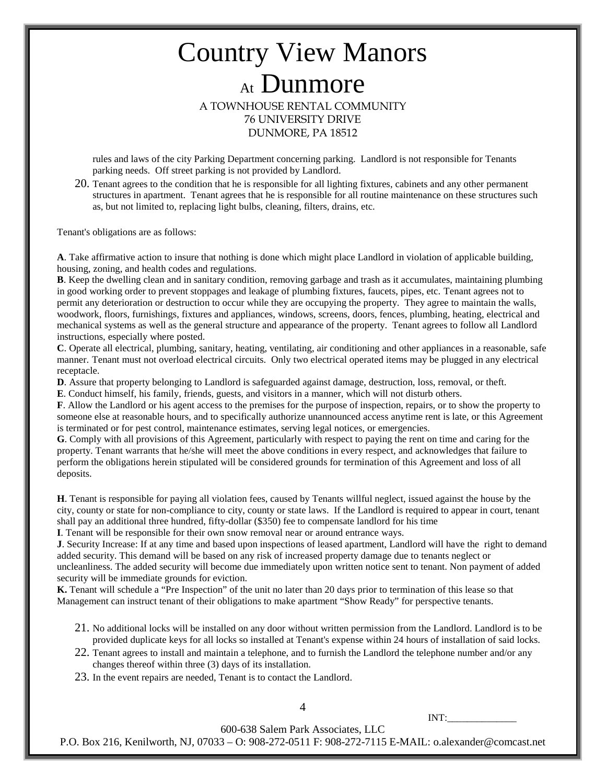rules and laws of the city Parking Department concerning parking. Landlord is not responsible for Tenants parking needs. Off street parking is not provided by Landlord.

20. Tenant agrees to the condition that he is responsible for all lighting fixtures, cabinets and any other permanent structures in apartment. Tenant agrees that he is responsible for all routine maintenance on these structures such as, but not limited to, replacing light bulbs, cleaning, filters, drains, etc.

Tenant's obligations are as follows:

**A**. Take affirmative action to insure that nothing is done which might place Landlord in violation of applicable building, housing, zoning, and health codes and regulations.

**B**. Keep the dwelling clean and in sanitary condition, removing garbage and trash as it accumulates, maintaining plumbing in good working order to prevent stoppages and leakage of plumbing fixtures, faucets, pipes, etc. Tenant agrees not to permit any deterioration or destruction to occur while they are occupying the property. They agree to maintain the walls, woodwork, floors, furnishings, fixtures and appliances, windows, screens, doors, fences, plumbing, heating, electrical and mechanical systems as well as the general structure and appearance of the property. Tenant agrees to follow all Landlord instructions, especially where posted.

**C**. Operate all electrical, plumbing, sanitary, heating, ventilating, air conditioning and other appliances in a reasonable, safe manner. Tenant must not overload electrical circuits. Only two electrical operated items may be plugged in any electrical receptacle.

**D**. Assure that property belonging to Landlord is safeguarded against damage, destruction, loss, removal, or theft.

**E**. Conduct himself, his family, friends, guests, and visitors in a manner, which will not disturb others.

**F**. Allow the Landlord or his agent access to the premises for the purpose of inspection, repairs, or to show the property to someone else at reasonable hours, and to specifically authorize unannounced access anytime rent is late, or this Agreement is terminated or for pest control, maintenance estimates, serving legal notices, or emergencies.

**G**. Comply with all provisions of this Agreement, particularly with respect to paying the rent on time and caring for the property. Tenant warrants that he/she will meet the above conditions in every respect, and acknowledges that failure to perform the obligations herein stipulated will be considered grounds for termination of this Agreement and loss of all deposits.

**H**. Tenant is responsible for paying all violation fees, caused by Tenants willful neglect, issued against the house by the city, county or state for non-compliance to city, county or state laws. If the Landlord is required to appear in court, tenant shall pay an additional three hundred, fifty-dollar (\$350) fee to compensate landlord for his time

**I**. Tenant will be responsible for their own snow removal near or around entrance ways.

**J**. Security Increase: If at any time and based upon inspections of leased apartment, Landlord will have the right to demand added security. This demand will be based on any risk of increased property damage due to tenants neglect or uncleanliness. The added security will become due immediately upon written notice sent to tenant. Non payment of added security will be immediate grounds for eviction.

**K.** Tenant will schedule a "Pre Inspection" of the unit no later than 20 days prior to termination of this lease so that Management can instruct tenant of their obligations to make apartment "Show Ready" for perspective tenants.

- 21. No additional locks will be installed on any door without written permission from the Landlord. Landlord is to be provided duplicate keys for all locks so installed at Tenant's expense within 24 hours of installation of said locks.
- 22. Tenant agrees to install and maintain a telephone, and to furnish the Landlord the telephone number and/or any changes thereof within three (3) days of its installation.
- 23. In the event repairs are needed, Tenant is to contact the Landlord.

4

INT:

600-638 Salem Park Associates, LLC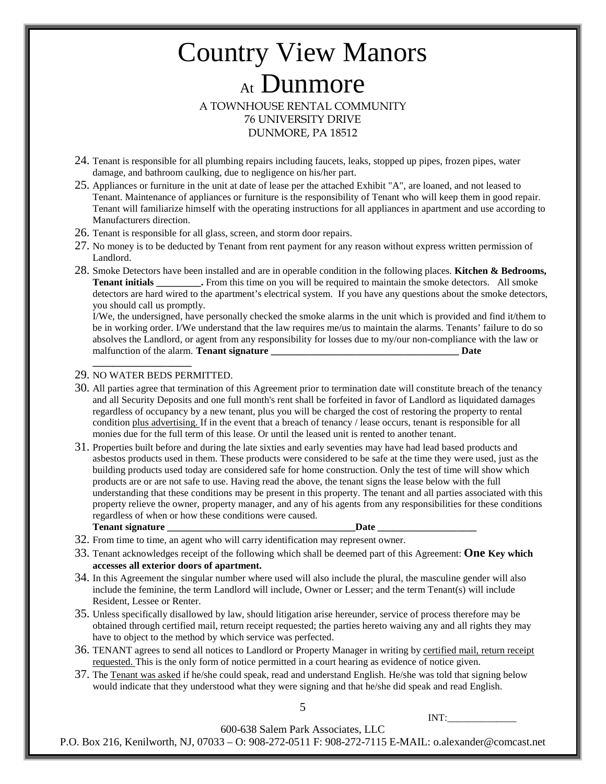- 24. Tenant is responsible for all plumbing repairs including faucets, leaks, stopped up pipes, frozen pipes, water damage, and bathroom caulking, due to negligence on his/her part.
- 25. Appliances or furniture in the unit at date of lease per the attached Exhibit "A", are loaned, and not leased to Tenant. Maintenance of appliances or furniture is the responsibility of Tenant who will keep them in good repair. Tenant will familiarize himself with the operating instructions for all appliances in apartment and use according to Manufacturers direction.
- 26. Tenant is responsible for all glass, screen, and storm door repairs.
- 27. No money is to be deducted by Tenant from rent payment for any reason without express written permission of Landlord.
- 28. Smoke Detectors have been installed and are in operable condition in the following places. **Kitchen & Bedrooms, Tenant initials** From this time on you will be required to maintain the smoke detectors. All smoke detectors are hard wired to the apartment's electrical system. If you have any questions about the smoke detectors, you should call us promptly.

I/We, the undersigned, have personally checked the smoke alarms in the unit which is provided and find it/them to be in working order. I/We understand that the law requires me/us to maintain the alarms. Tenants' failure to do so absolves the Landlord, or agent from any responsibility for losses due to my/our non-compliance with the law or malfunction of the alarm. **Tenant signature \_\_\_\_\_\_\_\_\_\_\_\_\_\_\_\_\_\_\_\_\_\_\_\_\_\_\_\_\_\_\_\_\_\_\_\_\_\_ Date** 

#### 29. NO WATER BEDS PERMITTED.

**\_\_\_\_\_\_\_\_\_\_\_\_\_\_\_\_\_\_\_\_**

- 30. All parties agree that termination of this Agreement prior to termination date will constitute breach of the tenancy and all Security Deposits and one full month's rent shall be forfeited in favor of Landlord as liquidated damages regardless of occupancy by a new tenant, plus you will be charged the cost of restoring the property to rental condition plus advertising. If in the event that a breach of tenancy / lease occurs, tenant is responsible for all monies due for the full term of this lease. Or until the leased unit is rented to another tenant.
- 31. Properties built before and during the late sixties and early seventies may have had lead based products and asbestos products used in them. These products were considered to be safe at the time they were used, just as the building products used today are considered safe for home construction. Only the test of time will show which products are or are not safe to use. Having read the above, the tenant signs the lease below with the full understanding that these conditions may be present in this property. The tenant and all parties associated with this property relieve the owner, property manager, and any of his agents from any responsibilities for these conditions regardless of when or how these conditions were caused. **Tenant signature**   $\qquad \qquad$  Date
- 32. From time to time, an agent who will carry identification may represent owner.
- 33. Tenant acknowledges receipt of the following which shall be deemed part of this Agreement: **One Key which accesses all exterior doors of apartment.**
- 34. In this Agreement the singular number where used will also include the plural, the masculine gender will also include the feminine, the term Landlord will include, Owner or Lesser; and the term Tenant(s) will include Resident, Lessee or Renter.
- 35. Unless specifically disallowed by law, should litigation arise hereunder, service of process therefore may be obtained through certified mail, return receipt requested; the parties hereto waiving any and all rights they may have to object to the method by which service was perfected.
- 36. TENANT agrees to send all notices to Landlord or Property Manager in writing by certified mail, return receipt requested. This is the only form of notice permitted in a court hearing as evidence of notice given.
- 37. The Tenant was asked if he/she could speak, read and understand English. He/she was told that signing below would indicate that they understood what they were signing and that he/she did speak and read English.

5

INT:

600-638 Salem Park Associates, LLC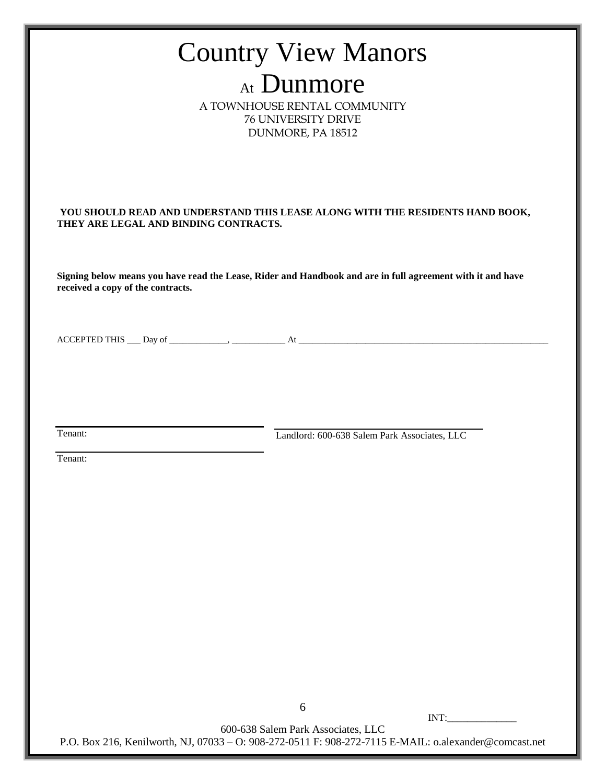| <b>Country View Manors</b>                                                                                             |                                                                                                                                                  |  |  |  |
|------------------------------------------------------------------------------------------------------------------------|--------------------------------------------------------------------------------------------------------------------------------------------------|--|--|--|
|                                                                                                                        | At Dunmore<br>A TOWNHOUSE RENTAL COMMUNITY<br>76 UNIVERSITY DRIVE<br>DUNMORE, PA 18512                                                           |  |  |  |
| YOU SHOULD READ AND UNDERSTAND THIS LEASE ALONG WITH THE RESIDENTS HAND BOOK,<br>THEY ARE LEGAL AND BINDING CONTRACTS. |                                                                                                                                                  |  |  |  |
| received a copy of the contracts.                                                                                      | Signing below means you have read the Lease, Rider and Handbook and are in full agreement with it and have                                       |  |  |  |
|                                                                                                                        | $\text{ACCEPTED THIS}$ $\_\text{Day}$ of $\_\_\_\text{max}$ , $\_\_\text{max}$ At $\_\_\_\_\_\_\_\_\_\_\_\_\_\_\_\_\_\_\_\_\_\_\_\_\_\_\_\_\_\_$ |  |  |  |
| Tenant:                                                                                                                | Landlord: 600-638 Salem Park Associates, LLC                                                                                                     |  |  |  |
| Tenant:                                                                                                                |                                                                                                                                                  |  |  |  |
|                                                                                                                        |                                                                                                                                                  |  |  |  |
|                                                                                                                        |                                                                                                                                                  |  |  |  |
|                                                                                                                        |                                                                                                                                                  |  |  |  |
|                                                                                                                        | 6<br>INT:<br>600-638 Salem Park Associates, LLC                                                                                                  |  |  |  |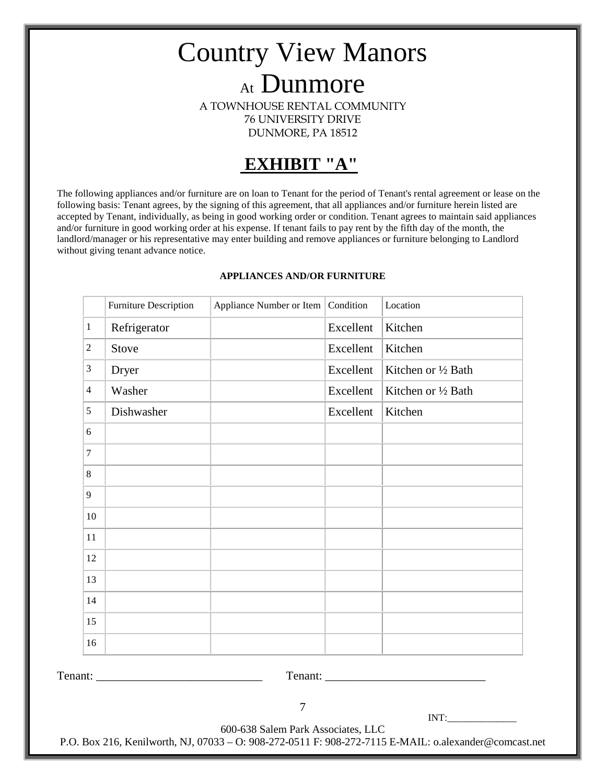A TOWNHOUSE RENTAL COMMUNITY 76 UNIVERSITY DRIVE DUNMORE, PA 18512

### **EXHIBIT "A"**

The following appliances and/or furniture are on loan to Tenant for the period of Tenant's rental agreement or lease on the following basis: Tenant agrees, by the signing of this agreement, that all appliances and/or furniture herein listed are accepted by Tenant, individually, as being in good working order or condition. Tenant agrees to maintain said appliances and/or furniture in good working order at his expense. If tenant fails to pay rent by the fifth day of the month, the landlord/manager or his representative may enter building and remove appliances or furniture belonging to Landlord without giving tenant advance notice.

| Refrigerator |                |           |                                    |
|--------------|----------------|-----------|------------------------------------|
|              |                | Excellent | Kitchen                            |
| Stove        |                | Excellent | Kitchen                            |
| Dryer        |                | Excellent | Kitchen or 1/2 Bath                |
| Washer       |                | Excellent | Kitchen or 1/2 Bath                |
| Dishwasher   |                | Excellent | Kitchen                            |
|              |                |           |                                    |
|              |                |           |                                    |
|              |                |           |                                    |
|              |                |           |                                    |
|              |                |           |                                    |
|              |                |           |                                    |
|              |                |           |                                    |
|              |                |           |                                    |
|              |                |           |                                    |
|              |                |           |                                    |
|              |                |           |                                    |
|              |                |           |                                    |
|              | $\overline{7}$ |           | INT:                               |
|              |                |           | 600-638 Salem Park Associates, LLC |

#### **APPLIANCES AND/OR FURNITURE**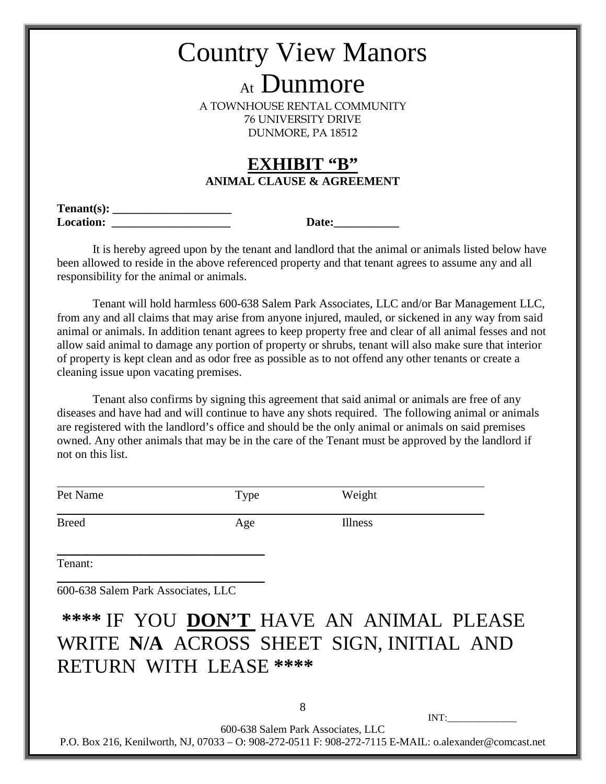A TOWNHOUSE RENTAL COMMUNITY 76 UNIVERSITY DRIVE DUNMORE, PA 18512

#### **EXHIBIT "B" ANIMAL CLAUSE & AGREEMENT**

**Tenant(s): \_\_\_\_\_\_\_\_\_\_\_\_\_\_\_\_\_\_\_\_ Location: \_\_\_\_\_\_\_\_\_\_\_\_\_\_\_\_\_\_\_\_ Date:\_\_\_\_\_\_\_\_\_\_\_**

It is hereby agreed upon by the tenant and landlord that the animal or animals listed below have been allowed to reside in the above referenced property and that tenant agrees to assume any and all responsibility for the animal or animals.

Tenant will hold harmless 600-638 Salem Park Associates, LLC and/or Bar Management LLC, from any and all claims that may arise from anyone injured, mauled, or sickened in any way from said animal or animals. In addition tenant agrees to keep property free and clear of all animal fesses and not allow said animal to damage any portion of property or shrubs, tenant will also make sure that interior of property is kept clean and as odor free as possible as to not offend any other tenants or create a cleaning issue upon vacating premises.

Tenant also confirms by signing this agreement that said animal or animals are free of any diseases and have had and will continue to have any shots required. The following animal or animals are registered with the landlord's office and should be the only animal or animals on said premises owned. Any other animals that may be in the care of the Tenant must be approved by the landlord if not on this list.

| Pet Name     | Type | Weight         |
|--------------|------|----------------|
| <b>Breed</b> | Age  | <b>Illness</b> |

Tenant:

600-638 Salem Park Associates, LLC

\_\_\_\_\_\_\_\_\_\_\_\_\_\_\_\_\_\_\_\_\_\_\_\_\_\_\_\_\_\_\_\_\_\_\_

 $\frac{1}{2}$  , and the set of the set of the set of the set of the set of the set of the set of the set of the set of the set of the set of the set of the set of the set of the set of the set of the set of the set of the set

## **\*\*\*\*** IF YOU **DON'T** HAVE AN ANIMAL PLEASE WRITE **N/A** ACROSS SHEET SIGN, INITIAL AND RETURN WITH LEASE **\*\*\*\***

8

INT:

600-638 Salem Park Associates, LLC P.O. Box 216, Kenilworth, NJ, 07033 – O: 908-272-0511 F: 908-272-7115 E-MAIL: o.alexander@comcast.net